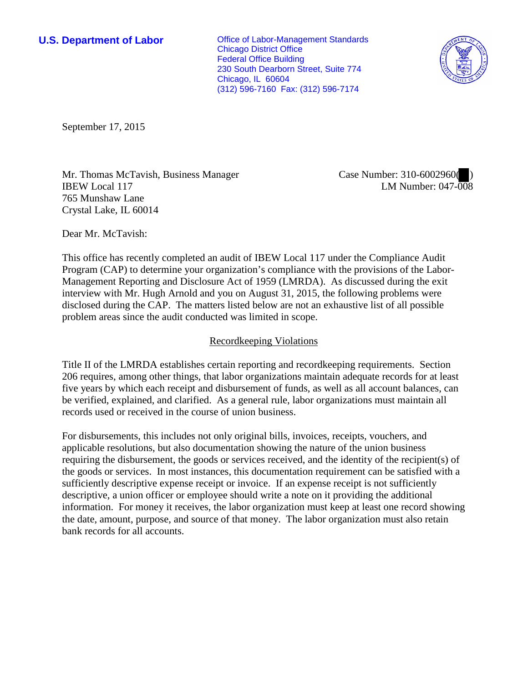**U.S. Department of Labor Office of Labor-Management Standards** Chicago District Office Federal Office Building 230 South Dearborn Street, Suite 774 Chicago, IL 60604 (312) 596-7160 Fax: (312) 596-7174



September 17, 2015

Mr. Thomas McTavish, Business Manager IBEW Local 117 765 Munshaw Lane Crystal Lake, IL 60014

Case Number: 310-6002960( ) LM Number: 047-008

Dear Mr. McTavish:

This office has recently completed an audit of IBEW Local 117 under the Compliance Audit Program (CAP) to determine your organization's compliance with the provisions of the Labor-Management Reporting and Disclosure Act of 1959 (LMRDA). As discussed during the exit interview with Mr. Hugh Arnold and you on August 31, 2015, the following problems were disclosed during the CAP. The matters listed below are not an exhaustive list of all possible problem areas since the audit conducted was limited in scope.

## Recordkeeping Violations

Title II of the LMRDA establishes certain reporting and recordkeeping requirements. Section 206 requires, among other things, that labor organizations maintain adequate records for at least five years by which each receipt and disbursement of funds, as well as all account balances, can be verified, explained, and clarified. As a general rule, labor organizations must maintain all records used or received in the course of union business.

For disbursements, this includes not only original bills, invoices, receipts, vouchers, and applicable resolutions, but also documentation showing the nature of the union business requiring the disbursement, the goods or services received, and the identity of the recipient(s) of the goods or services. In most instances, this documentation requirement can be satisfied with a sufficiently descriptive expense receipt or invoice. If an expense receipt is not sufficiently descriptive, a union officer or employee should write a note on it providing the additional information. For money it receives, the labor organization must keep at least one record showing the date, amount, purpose, and source of that money. The labor organization must also retain bank records for all accounts.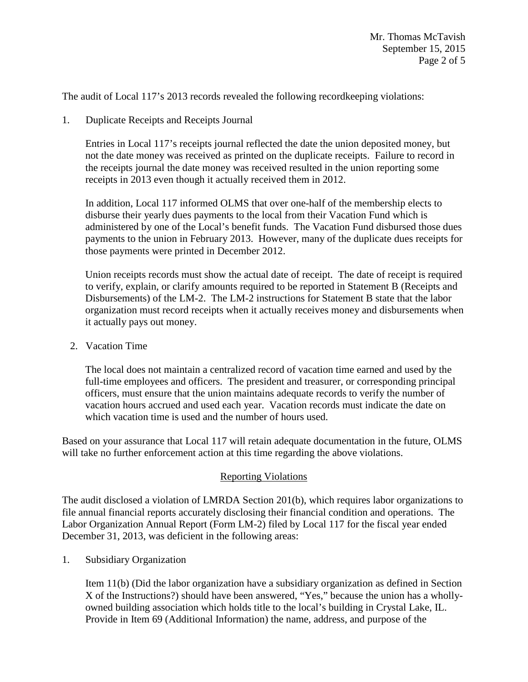The audit of Local 117's 2013 records revealed the following recordkeeping violations:

1. Duplicate Receipts and Receipts Journal

Entries in Local 117's receipts journal reflected the date the union deposited money, but not the date money was received as printed on the duplicate receipts. Failure to record in the receipts journal the date money was received resulted in the union reporting some receipts in 2013 even though it actually received them in 2012.

In addition, Local 117 informed OLMS that over one-half of the membership elects to disburse their yearly dues payments to the local from their Vacation Fund which is administered by one of the Local's benefit funds. The Vacation Fund disbursed those dues payments to the union in February 2013. However, many of the duplicate dues receipts for those payments were printed in December 2012.

Union receipts records must show the actual date of receipt. The date of receipt is required to verify, explain, or clarify amounts required to be reported in Statement B (Receipts and Disbursements) of the LM-2. The LM-2 instructions for Statement B state that the labor organization must record receipts when it actually receives money and disbursements when it actually pays out money.

2. Vacation Time

The local does not maintain a centralized record of vacation time earned and used by the full-time employees and officers. The president and treasurer, or corresponding principal officers, must ensure that the union maintains adequate records to verify the number of vacation hours accrued and used each year. Vacation records must indicate the date on which vacation time is used and the number of hours used.

Based on your assurance that Local 117 will retain adequate documentation in the future, OLMS will take no further enforcement action at this time regarding the above violations.

## Reporting Violations

The audit disclosed a violation of LMRDA Section 201(b), which requires labor organizations to file annual financial reports accurately disclosing their financial condition and operations. The Labor Organization Annual Report (Form LM-2) filed by Local 117 for the fiscal year ended December 31, 2013, was deficient in the following areas:

1. Subsidiary Organization

Item 11(b) (Did the labor organization have a subsidiary organization as defined in Section X of the Instructions?) should have been answered, "Yes," because the union has a whollyowned building association which holds title to the local's building in Crystal Lake, IL. Provide in Item 69 (Additional Information) the name, address, and purpose of the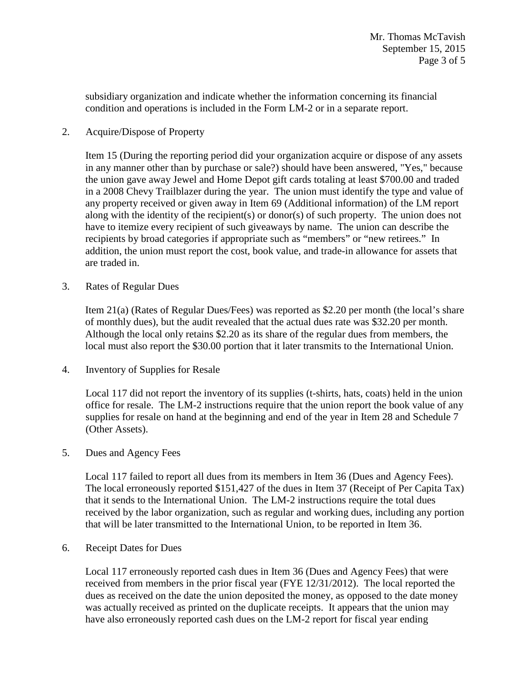subsidiary organization and indicate whether the information concerning its financial condition and operations is included in the Form LM-2 or in a separate report.

2. Acquire/Dispose of Property

Item 15 (During the reporting period did your organization acquire or dispose of any assets in any manner other than by purchase or sale?) should have been answered, "Yes," because the union gave away Jewel and Home Depot gift cards totaling at least \$700.00 and traded in a 2008 Chevy Trailblazer during the year. The union must identify the type and value of any property received or given away in Item 69 (Additional information) of the LM report along with the identity of the recipient(s) or donor(s) of such property. The union does not have to itemize every recipient of such giveaways by name. The union can describe the recipients by broad categories if appropriate such as "members" or "new retirees." In addition, the union must report the cost, book value, and trade-in allowance for assets that are traded in.

3. Rates of Regular Dues

Item 21(a) (Rates of Regular Dues/Fees) was reported as \$2.20 per month (the local's share of monthly dues), but the audit revealed that the actual dues rate was \$32.20 per month. Although the local only retains \$2.20 as its share of the regular dues from members, the local must also report the \$30.00 portion that it later transmits to the International Union.

4. Inventory of Supplies for Resale

Local 117 did not report the inventory of its supplies (t-shirts, hats, coats) held in the union office for resale. The LM-2 instructions require that the union report the book value of any supplies for resale on hand at the beginning and end of the year in Item 28 and Schedule 7 (Other Assets).

5. Dues and Agency Fees

Local 117 failed to report all dues from its members in Item 36 (Dues and Agency Fees). The local erroneously reported \$151,427 of the dues in Item 37 (Receipt of Per Capita Tax) that it sends to the International Union. The LM-2 instructions require the total dues received by the labor organization, such as regular and working dues, including any portion that will be later transmitted to the International Union, to be reported in Item 36.

6. Receipt Dates for Dues

Local 117 erroneously reported cash dues in Item 36 (Dues and Agency Fees) that were received from members in the prior fiscal year (FYE 12/31/2012). The local reported the dues as received on the date the union deposited the money, as opposed to the date money was actually received as printed on the duplicate receipts. It appears that the union may have also erroneously reported cash dues on the LM-2 report for fiscal year ending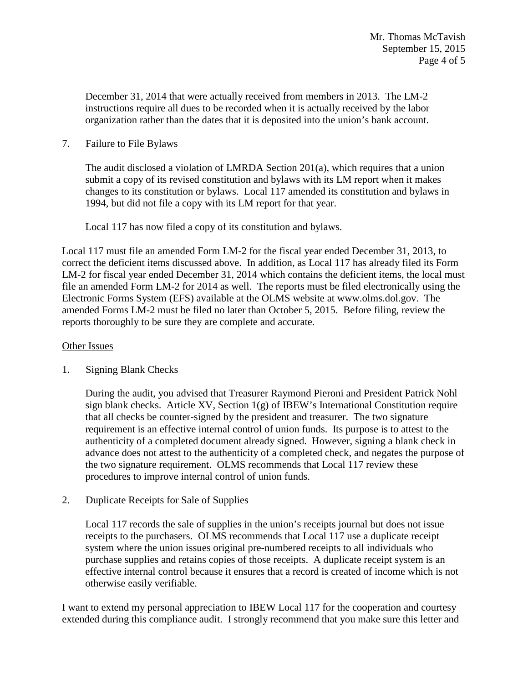December 31, 2014 that were actually received from members in 2013. The LM-2 instructions require all dues to be recorded when it is actually received by the labor organization rather than the dates that it is deposited into the union's bank account.

7. Failure to File Bylaws

The audit disclosed a violation of LMRDA Section 201(a), which requires that a union submit a copy of its revised constitution and bylaws with its LM report when it makes changes to its constitution or bylaws. Local 117 amended its constitution and bylaws in 1994, but did not file a copy with its LM report for that year.

Local 117 has now filed a copy of its constitution and bylaws.

Local 117 must file an amended Form LM-2 for the fiscal year ended December 31, 2013, to correct the deficient items discussed above. In addition, as Local 117 has already filed its Form LM-2 for fiscal year ended December 31, 2014 which contains the deficient items, the local must file an amended Form LM-2 for 2014 as well. The reports must be filed electronically using the Electronic Forms System (EFS) available at the OLMS website at www.olms.dol.gov. The amended Forms LM-2 must be filed no later than October 5, 2015. Before filing, review the reports thoroughly to be sure they are complete and accurate.

## Other Issues

## 1. Signing Blank Checks

During the audit, you advised that Treasurer Raymond Pieroni and President Patrick Nohl sign blank checks. Article XV, Section  $1(g)$  of IBEW's International Constitution require that all checks be counter-signed by the president and treasurer. The two signature requirement is an effective internal control of union funds. Its purpose is to attest to the authenticity of a completed document already signed. However, signing a blank check in advance does not attest to the authenticity of a completed check, and negates the purpose of the two signature requirement. OLMS recommends that Local 117 review these procedures to improve internal control of union funds.

2. Duplicate Receipts for Sale of Supplies

Local 117 records the sale of supplies in the union's receipts journal but does not issue receipts to the purchasers. OLMS recommends that Local 117 use a duplicate receipt system where the union issues original pre-numbered receipts to all individuals who purchase supplies and retains copies of those receipts. A duplicate receipt system is an effective internal control because it ensures that a record is created of income which is not otherwise easily verifiable.

I want to extend my personal appreciation to IBEW Local 117 for the cooperation and courtesy extended during this compliance audit. I strongly recommend that you make sure this letter and